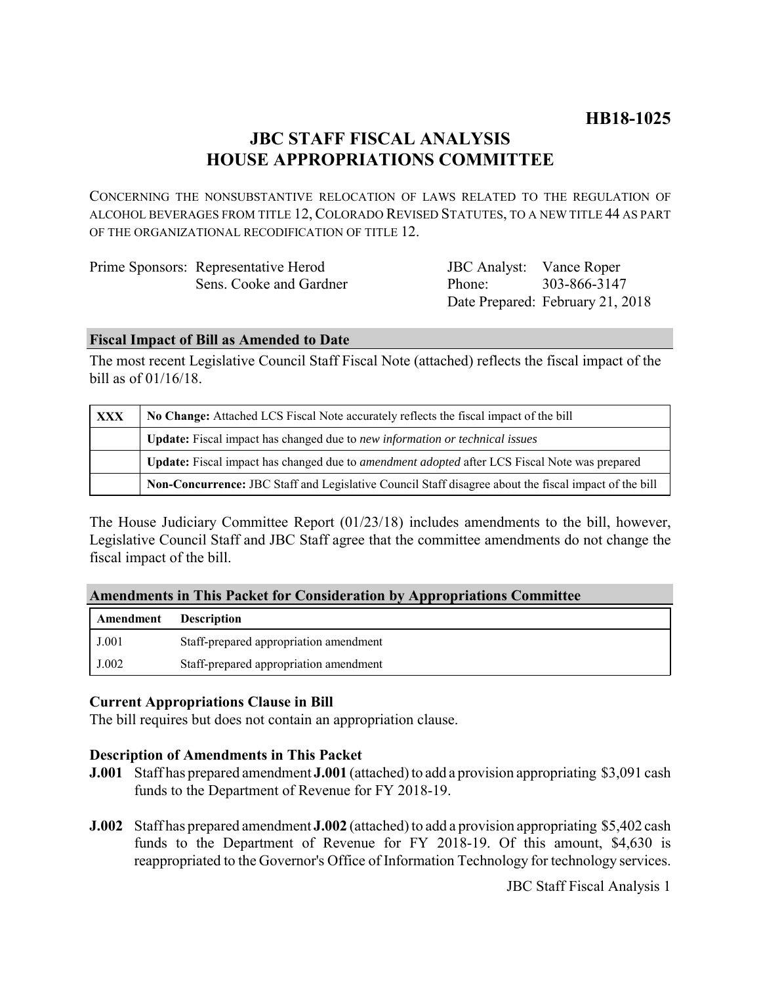# **JBC STAFF FISCAL ANALYSIS HOUSE APPROPRIATIONS COMMITTEE**

CONCERNING THE NONSUBSTANTIVE RELOCATION OF LAWS RELATED TO THE REGULATION OF ALCOHOL BEVERAGES FROM TITLE 12, COLORADO REVISED STATUTES, TO A NEW TITLE 44 AS PART OF THE ORGANIZATIONAL RECODIFICATION OF TITLE 12.

| Prime Sponsors: Representative Herod | <b>JBC</b> Analyst: Vance Roper |                                  |
|--------------------------------------|---------------------------------|----------------------------------|
| Sens. Cooke and Gardner              | Phone <sup>.</sup>              | 303-866-3147                     |
|                                      |                                 | Date Prepared: February 21, 2018 |

#### **Fiscal Impact of Bill as Amended to Date**

The most recent Legislative Council Staff Fiscal Note (attached) reflects the fiscal impact of the bill as of 01/16/18.

| <b>XXX</b> | No Change: Attached LCS Fiscal Note accurately reflects the fiscal impact of the bill                       |  |
|------------|-------------------------------------------------------------------------------------------------------------|--|
|            | Update: Fiscal impact has changed due to new information or technical issues                                |  |
|            | <b>Update:</b> Fiscal impact has changed due to <i>amendment adopted</i> after LCS Fiscal Note was prepared |  |
|            | Non-Concurrence: JBC Staff and Legislative Council Staff disagree about the fiscal impact of the bill       |  |

The House Judiciary Committee Report (01/23/18) includes amendments to the bill, however, Legislative Council Staff and JBC Staff agree that the committee amendments do not change the fiscal impact of the bill.

|  | <b>Amendments in This Packet for Consideration by Appropriations Committee</b> |  |  |
|--|--------------------------------------------------------------------------------|--|--|
|  |                                                                                |  |  |

| Amendment | <b>Description</b>                     |
|-----------|----------------------------------------|
| J.001     | Staff-prepared appropriation amendment |
| J.002     | Staff-prepared appropriation amendment |

### **Current Appropriations Clause in Bill**

The bill requires but does not contain an appropriation clause.

### **Description of Amendments in This Packet**

- **J.001** Staff has prepared amendment **J.001** (attached) to add a provision appropriating \$3,091 cash funds to the Department of Revenue for FY 2018-19.
- **J.002** Staff has prepared amendment **J.002** (attached) to add a provision appropriating \$5,402 cash funds to the Department of Revenue for FY 2018-19. Of this amount, \$4,630 is reappropriated to the Governor's Office of Information Technology for technology services.